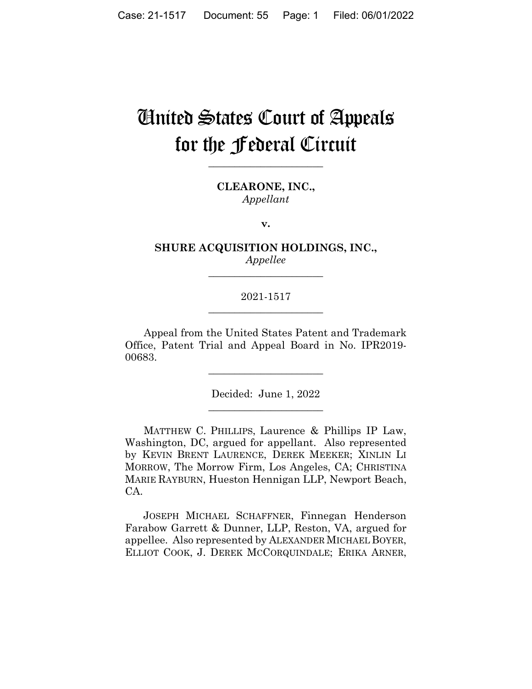# United States Court of Appeals for the **federal** Circuit

CLEARONE, INC., Appellant

 $\mathbf{v}$ .

SHURE ACQUISITION HOLDINGS, INC., Appellee

## 2021-1517

Appeal from the United States Patent and Trademark Office, Patent Trial and Appeal Board in No. IPR2019-00683.

Decided: June 1, 2022

MATTHEW C. PHILLIPS, Laurence & Phillips IP Law, Washington, DC, argued for appellant. Also represented by KEVIN BRENT LAURENCE, DEREK MEEKER; XINLIN LI MORROW, The Morrow Firm, Los Angeles, CA; CHRISTINA MARIE RAYBURN, Hueston Hennigan LLP, Newport Beach, CA.

JOSEPH MICHAEL SCHAFFNER, Finnegan Henderson Farabow Garrett & Dunner, LLP, Reston, VA, argued for appellee. Also represented by ALEXANDER MICHAEL BOYER, ELLIOT COOK, J. DEREK MCCORQUINDALE; ERIKA ARNER,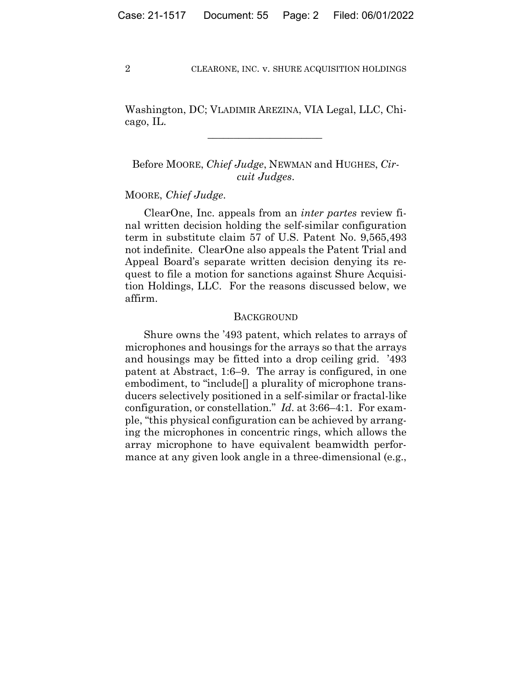Washington, DC; VLADIMIR AREZINA, VIA Legal, LLC, Chicago, IL.

 $\mathcal{L}_\text{max}$  and  $\mathcal{L}_\text{max}$  and  $\mathcal{L}_\text{max}$  and  $\mathcal{L}_\text{max}$ 

Before MOORE, *Chief Judge*, NEWMAN and HUGHES, *Circuit Judges*.

### MOORE, *Chief Judge*.

ClearOne, Inc. appeals from an *inter partes* review final written decision holding the self-similar configuration term in substitute claim 57 of U.S. Patent No. 9,565,493 not indefinite. ClearOne also appeals the Patent Trial and Appeal Board's separate written decision denying its request to file a motion for sanctions against Shure Acquisition Holdings, LLC. For the reasons discussed below, we affirm.

#### **BACKGROUND**

Shure owns the '493 patent, which relates to arrays of microphones and housings for the arrays so that the arrays and housings may be fitted into a drop ceiling grid. '493 patent at Abstract, 1:6–9. The array is configured, in one embodiment, to "include<sup>[]</sup> a plurality of microphone transducers selectively positioned in a self-similar or fractal-like configuration, or constellation." *Id*. at 3:66–4:1. For example, "this physical configuration can be achieved by arranging the microphones in concentric rings, which allows the array microphone to have equivalent beamwidth performance at any given look angle in a three-dimensional (e.g.,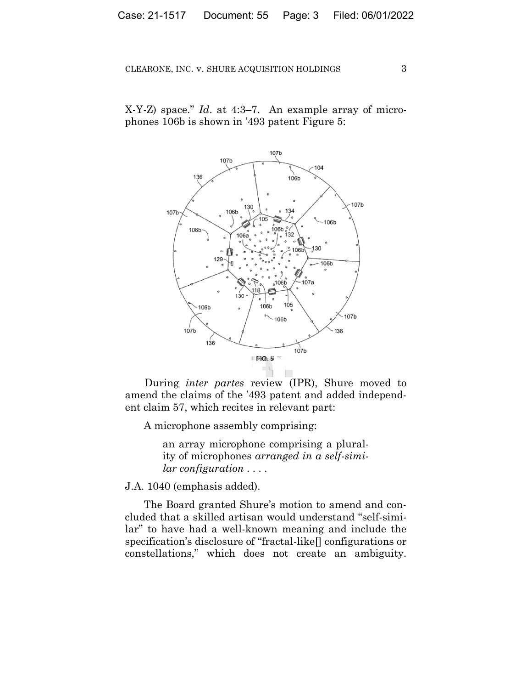X-Y-Z) space." *Id*. at 4:3–7. An example array of microphones 106b is shown in '493 patent Figure 5:



During *inter partes* review (IPR), Shure moved to amend the claims of the '493 patent and added independent claim 57, which recites in relevant part:

A microphone assembly comprising:

an array microphone comprising a plurality of microphones *arranged in a self-similar configuration* . . . .

J.A. 1040 (emphasis added).

The Board granted Shure's motion to amend and concluded that a skilled artisan would understand "self-similar" to have had a well-known meaning and include the specification's disclosure of "fractal-like[] configurations or constellations," which does not create an ambiguity.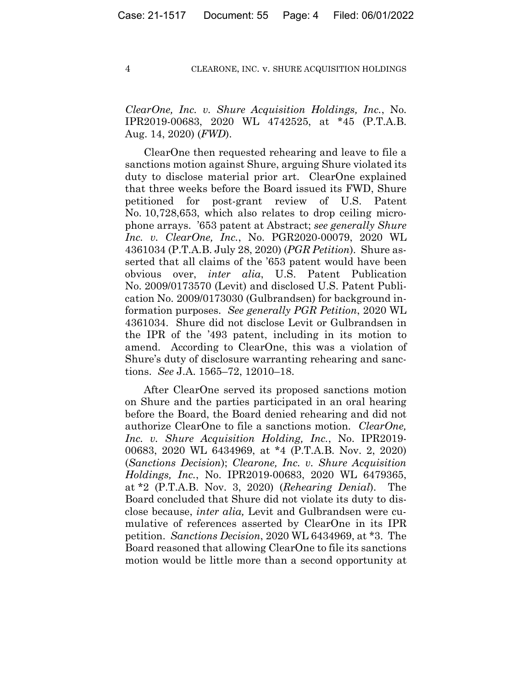*ClearOne, Inc. v. Shure Acquisition Holdings, Inc.*, No. IPR2019-00683, 2020 WL 4742525, at \*45 (P.T.A.B. Aug. 14, 2020) (*FWD*).

ClearOne then requested rehearing and leave to file a sanctions motion against Shure, arguing Shure violated its duty to disclose material prior art. ClearOne explained that three weeks before the Board issued its FWD, Shure petitioned for post-grant review of U.S. Patent No. 10,728,653, which also relates to drop ceiling microphone arrays. '653 patent at Abstract; *see generally Shure Inc. v. ClearOne, Inc.*, No. PGR2020-00079, 2020 WL 4361034 (P.T.A.B. July 28, 2020) (*PGR Petition*). Shure asserted that all claims of the '653 patent would have been obvious over, *inter alia*, U.S. Patent Publication No. 2009/0173570 (Levit) and disclosed U.S. Patent Publication No. 2009/0173030 (Gulbrandsen) for background information purposes. *See generally PGR Petition*, 2020 WL 4361034. Shure did not disclose Levit or Gulbrandsen in the IPR of the '493 patent, including in its motion to amend. According to ClearOne, this was a violation of Shure's duty of disclosure warranting rehearing and sanctions. *See* J.A. 1565–72, 12010–18.

After ClearOne served its proposed sanctions motion on Shure and the parties participated in an oral hearing before the Board, the Board denied rehearing and did not authorize ClearOne to file a sanctions motion. *ClearOne, Inc. v. Shure Acquisition Holding, Inc.*, No. IPR2019- 00683, 2020 WL 6434969, at \*4 (P.T.A.B. Nov. 2, 2020) (*Sanctions Decision*); *Clearone, Inc. v. Shure Acquisition Holdings, Inc.*, No. IPR2019-00683, 2020 WL 6479365, at \*2 (P.T.A.B. Nov. 3, 2020) (*Rehearing Denial*). The Board concluded that Shure did not violate its duty to disclose because, *inter alia,* Levit and Gulbrandsen were cumulative of references asserted by ClearOne in its IPR petition. *Sanctions Decision*, 2020 WL 6434969, at \*3. The Board reasoned that allowing ClearOne to file its sanctions motion would be little more than a second opportunity at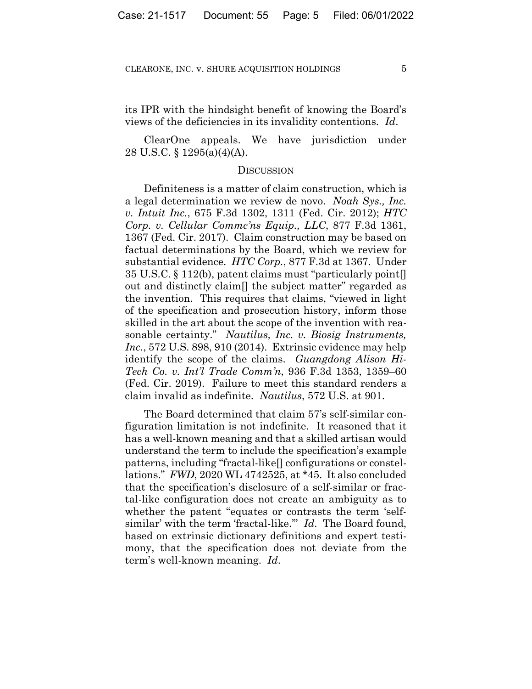its IPR with the hindsight benefit of knowing the Board's views of the deficiencies in its invalidity contentions. *Id*.

 ClearOne appeals. We have jurisdiction under 28 U.S.C. § 1295(a)(4)(A).

#### DISCUSSION

Definiteness is a matter of claim construction, which is a legal determination we review de novo. *Noah Sys., Inc. v. Intuit Inc.*, 675 F.3d 1302, 1311 (Fed. Cir. 2012); *HTC Corp. v. Cellular Commc'ns Equip., LLC*, 877 F.3d 1361, 1367 (Fed. Cir. 2017). Claim construction may be based on factual determinations by the Board, which we review for substantial evidence. *HTC Corp.*, 877 F.3d at 1367. Under 35 U.S.C. § 112(b), patent claims must "particularly point[] out and distinctly claim[] the subject matter" regarded as the invention. This requires that claims, "viewed in light of the specification and prosecution history, inform those skilled in the art about the scope of the invention with reasonable certainty." *Nautilus, Inc. v. Biosig Instruments, Inc.*, 572 U.S. 898, 910 (2014). Extrinsic evidence may help identify the scope of the claims. *Guangdong Alison Hi-Tech Co. v. Int'l Trade Comm'n*, 936 F.3d 1353, 1359–60 (Fed. Cir. 2019). Failure to meet this standard renders a claim invalid as indefinite. *Nautilus*, 572 U.S. at 901.

The Board determined that claim 57's self-similar configuration limitation is not indefinite. It reasoned that it has a well-known meaning and that a skilled artisan would understand the term to include the specification's example patterns, including "fractal-like[] configurations or constellations." *FWD*, 2020 WL 4742525, at \*45. It also concluded that the specification's disclosure of a self-similar or fractal-like configuration does not create an ambiguity as to whether the patent "equates or contrasts the term 'selfsimilar' with the term 'fractal-like.'" *Id*. The Board found, based on extrinsic dictionary definitions and expert testimony, that the specification does not deviate from the term's well-known meaning. *Id*.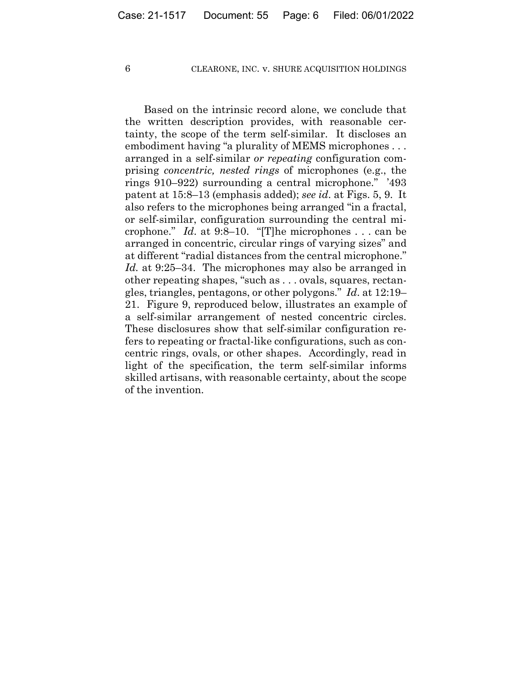Based on the intrinsic record alone, we conclude that the written description provides, with reasonable certainty, the scope of the term self-similar. It discloses an embodiment having "a plurality of MEMS microphones . . . arranged in a self-similar *or repeating* configuration comprising *concentric, nested rings* of microphones (e.g., the rings 910–922) surrounding a central microphone." '493 patent at 15:8–13 (emphasis added); *see id*. at Figs. 5, 9. It also refers to the microphones being arranged "in a fractal, or self-similar, configuration surrounding the central microphone." *Id*. at 9:8–10. "[T]he microphones . . . can be arranged in concentric, circular rings of varying sizes" and at different "radial distances from the central microphone." *Id.* at 9:25–34. The microphones may also be arranged in other repeating shapes, "such as . . . ovals, squares, rectangles, triangles, pentagons, or other polygons." *Id*. at 12:19– 21. Figure 9, reproduced below, illustrates an example of a self-similar arrangement of nested concentric circles. These disclosures show that self-similar configuration refers to repeating or fractal-like configurations, such as concentric rings, ovals, or other shapes. Accordingly, read in light of the specification, the term self-similar informs skilled artisans, with reasonable certainty, about the scope of the invention.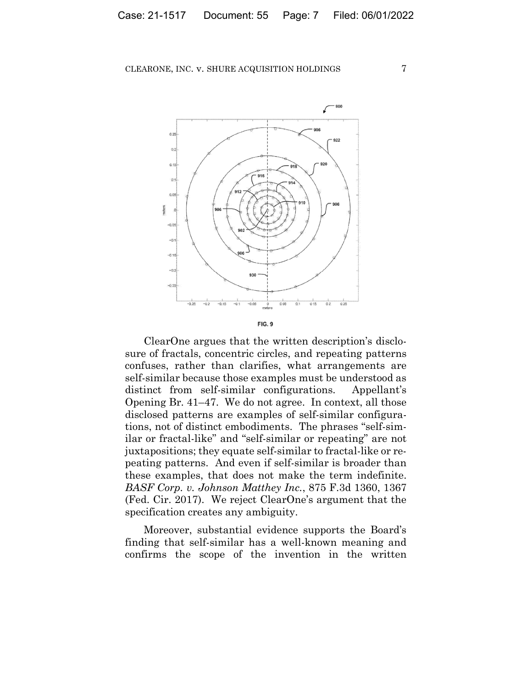

ClearOne argues that the written description's disclosure of fractals, concentric circles, and repeating patterns confuses, rather than clarifies, what arrangements are self-similar because those examples must be understood as distinct from self-similar configurations. Appellant's Opening Br. 41–47. We do not agree. In context, all those disclosed patterns are examples of self-similar configurations, not of distinct embodiments. The phrases "self-similar or fractal-like" and "self-similar or repeating" are not juxtapositions; they equate self-similar to fractal-like or repeating patterns. And even if self-similar is broader than these examples, that does not make the term indefinite. *BASF Corp. v. Johnson Matthey Inc.*, 875 F.3d 1360, 1367 (Fed. Cir. 2017). We reject ClearOne's argument that the specification creates any ambiguity.

Moreover, substantial evidence supports the Board's finding that self-similar has a well-known meaning and confirms the scope of the invention in the written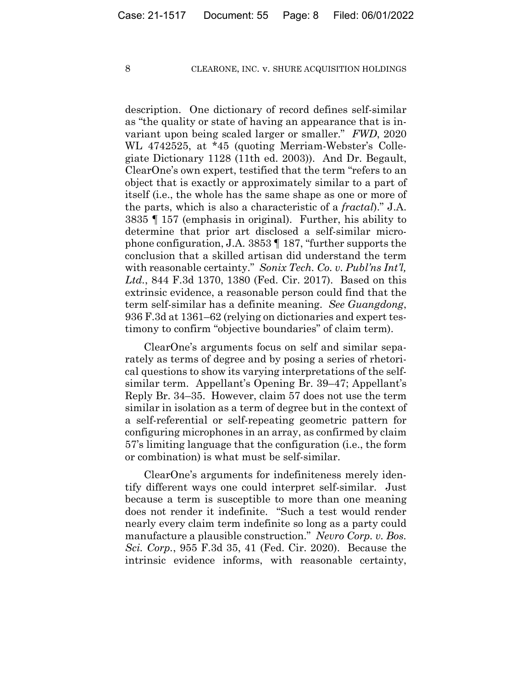description. One dictionary of record defines self-similar as "the quality or state of having an appearance that is invariant upon being scaled larger or smaller." *FWD*, 2020 WL 4742525, at \*45 (quoting Merriam-Webster's Collegiate Dictionary 1128 (11th ed. 2003)). And Dr. Begault, ClearOne's own expert, testified that the term "refers to an object that is exactly or approximately similar to a part of itself (i.e., the whole has the same shape as one or more of the parts, which is also a characteristic of a *fractal*)." J.A. 3835 ¶ 157 (emphasis in original). Further, his ability to determine that prior art disclosed a self-similar microphone configuration, J.A. 3853 ¶ 187, "further supports the conclusion that a skilled artisan did understand the term with reasonable certainty." *Sonix Tech. Co. v. Publ'ns Int'l, Ltd.*, 844 F.3d 1370, 1380 (Fed. Cir. 2017). Based on this extrinsic evidence, a reasonable person could find that the term self-similar has a definite meaning. *See Guangdong*, 936 F.3d at 1361–62 (relying on dictionaries and expert testimony to confirm "objective boundaries" of claim term).

ClearOne's arguments focus on self and similar separately as terms of degree and by posing a series of rhetorical questions to show its varying interpretations of the selfsimilar term. Appellant's Opening Br. 39–47; Appellant's Reply Br. 34–35. However, claim 57 does not use the term similar in isolation as a term of degree but in the context of a self-referential or self-repeating geometric pattern for configuring microphones in an array, as confirmed by claim 57's limiting language that the configuration (i.e., the form or combination) is what must be self-similar.

ClearOne's arguments for indefiniteness merely identify different ways one could interpret self-similar. Just because a term is susceptible to more than one meaning does not render it indefinite. "Such a test would render nearly every claim term indefinite so long as a party could manufacture a plausible construction." *Nevro Corp. v. Bos. Sci. Corp.*, 955 F.3d 35, 41 (Fed. Cir. 2020). Because the intrinsic evidence informs, with reasonable certainty,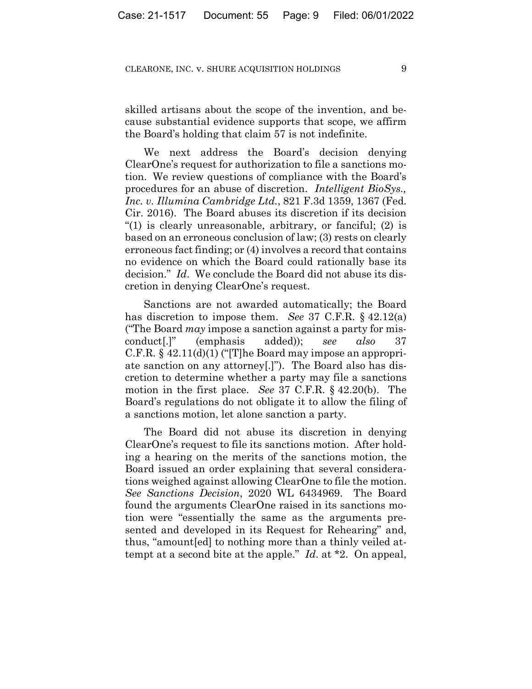skilled artisans about the scope of the invention, and because substantial evidence supports that scope, we affirm the Board's holding that claim 57 is not indefinite.

 We next address the Board's decision denying ClearOne's request for authorization to file a sanctions motion. We review questions of compliance with the Board's procedures for an abuse of discretion. *Intelligent BioSys., Inc. v. Illumina Cambridge Ltd.*, 821 F.3d 1359, 1367 (Fed. Cir. 2016). The Board abuses its discretion if its decision "(1) is clearly unreasonable, arbitrary, or fanciful; (2) is based on an erroneous conclusion of law; (3) rests on clearly erroneous fact finding; or (4) involves a record that contains no evidence on which the Board could rationally base its decision." *Id*. We conclude the Board did not abuse its discretion in denying ClearOne's request.

Sanctions are not awarded automatically; the Board has discretion to impose them. *See* 37 C.F.R. § 42.12(a) ("The Board *may* impose a sanction against a party for misconduct[.]" (emphasis added)); *see also* 37 C.F.R. § 42.11(d)(1) ("[T]he Board may impose an appropriate sanction on any attorney[.]"). The Board also has discretion to determine whether a party may file a sanctions motion in the first place. *See* 37 C.F.R. § 42.20(b). The Board's regulations do not obligate it to allow the filing of a sanctions motion, let alone sanction a party.

The Board did not abuse its discretion in denying ClearOne's request to file its sanctions motion. After holding a hearing on the merits of the sanctions motion, the Board issued an order explaining that several considerations weighed against allowing ClearOne to file the motion. *See Sanctions Decision*, 2020 WL 6434969. The Board found the arguments ClearOne raised in its sanctions motion were "essentially the same as the arguments presented and developed in its Request for Rehearing" and, thus, "amount[ed] to nothing more than a thinly veiled attempt at a second bite at the apple." *Id*. at \*2. On appeal,